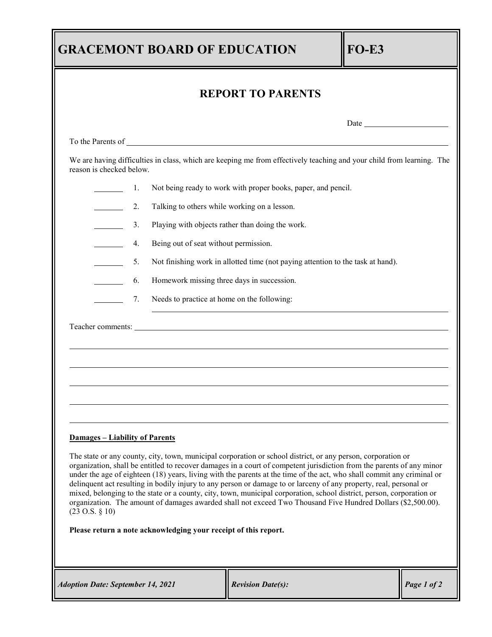| <b>GRACEMONT BOARD OF EDUCATION</b>                                                                                                                                                                                                                                                                                                                                                                      | $FO-E3$                                                       |                                                                                  |  |             |  |
|----------------------------------------------------------------------------------------------------------------------------------------------------------------------------------------------------------------------------------------------------------------------------------------------------------------------------------------------------------------------------------------------------------|---------------------------------------------------------------|----------------------------------------------------------------------------------|--|-------------|--|
| <b>REPORT TO PARENTS</b>                                                                                                                                                                                                                                                                                                                                                                                 |                                                               |                                                                                  |  |             |  |
|                                                                                                                                                                                                                                                                                                                                                                                                          |                                                               |                                                                                  |  |             |  |
|                                                                                                                                                                                                                                                                                                                                                                                                          |                                                               |                                                                                  |  |             |  |
| We are having difficulties in class, which are keeping me from effectively teaching and your child from learning. The<br>reason is checked below.                                                                                                                                                                                                                                                        |                                                               |                                                                                  |  |             |  |
| 1.                                                                                                                                                                                                                                                                                                                                                                                                       | Not being ready to work with proper books, paper, and pencil. |                                                                                  |  |             |  |
| 2.<br>Talking to others while working on a lesson.                                                                                                                                                                                                                                                                                                                                                       |                                                               |                                                                                  |  |             |  |
| Playing with objects rather than doing the work.<br>3.                                                                                                                                                                                                                                                                                                                                                   |                                                               |                                                                                  |  |             |  |
| Being out of seat without permission.<br>4.                                                                                                                                                                                                                                                                                                                                                              |                                                               |                                                                                  |  |             |  |
| Not finishing work in allotted time (not paying attention to the task at hand).<br>5.                                                                                                                                                                                                                                                                                                                    |                                                               |                                                                                  |  |             |  |
| Homework missing three days in succession.<br>6.                                                                                                                                                                                                                                                                                                                                                         |                                                               |                                                                                  |  |             |  |
| 7.                                                                                                                                                                                                                                                                                                                                                                                                       |                                                               | Needs to practice at home on the following:                                      |  |             |  |
|                                                                                                                                                                                                                                                                                                                                                                                                          |                                                               | ,我们也不会有什么。""我们的人,我们也不会有什么?""我们的人,我们也不会有什么?""我们的人,我们也不会有什么?""我们的人,我们也不会有什么?""我们的人 |  |             |  |
| <b>Damages - Liability of Parents</b><br>The state or any county, city, town, municipal corporation or school district, or any person, corporation or<br>organization, shall be entitled to recover damages in a court of competent jurisdiction from the parents of any minor<br>under the age of eighteen (18) years, living with the parents at the time of the act, who shall commit any criminal or |                                                               |                                                                                  |  |             |  |
| delinquent act resulting in bodily injury to any person or damage to or larceny of any property, real, personal or<br>mixed, belonging to the state or a county, city, town, municipal corporation, school district, person, corporation or<br>organization. The amount of damages awarded shall not exceed Two Thousand Five Hundred Dollars (\$2,500.00).<br>$(23 \text{ O.S. } § 10)$                 |                                                               |                                                                                  |  |             |  |
| Please return a note acknowledging your receipt of this report.                                                                                                                                                                                                                                                                                                                                          |                                                               |                                                                                  |  |             |  |
| <b>Adoption Date: September 14, 2021</b>                                                                                                                                                                                                                                                                                                                                                                 |                                                               | <b>Revision Date(s):</b>                                                         |  | Page 1 of 2 |  |